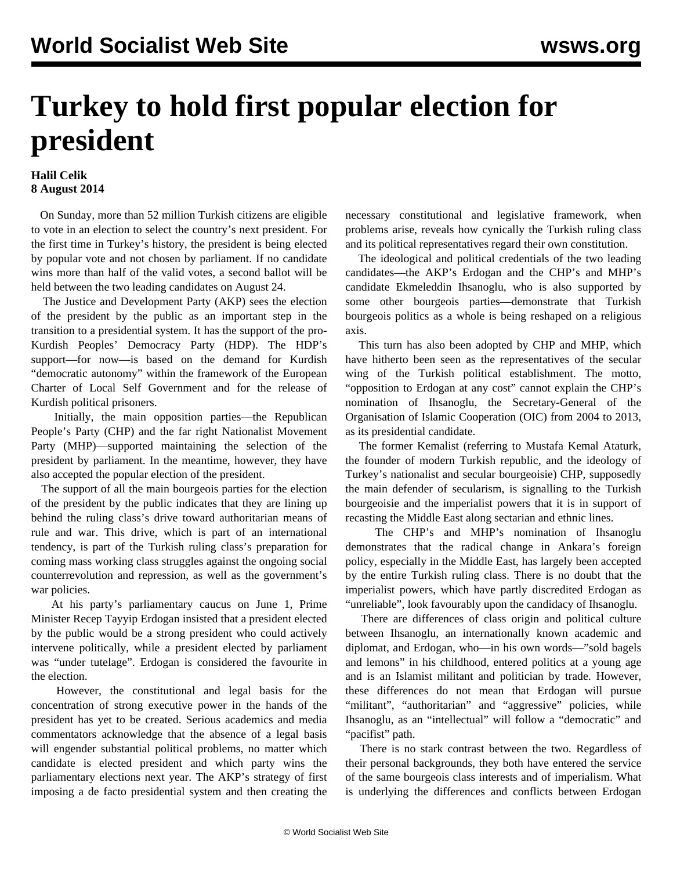## **Turkey to hold first popular election for president**

## **Halil Celik 8 August 2014**

 On Sunday, more than 52 million Turkish citizens are eligible to vote in an election to select the country's next president. For the first time in Turkey's history, the president is being elected by popular vote and not chosen by parliament. If no candidate wins more than half of the valid votes, a second ballot will be held between the two leading candidates on August 24.

 The Justice and Development Party (AKP) sees the election of the president by the public as an important step in the transition to a presidential system. It has the support of the pro-Kurdish Peoples' Democracy Party (HDP). The HDP's support—for now—is based on the demand for Kurdish "democratic autonomy" within the framework of the European Charter of Local Self Government and for the release of Kurdish political prisoners.

 Initially, the main opposition parties—the Republican People's Party (CHP) and the far right Nationalist Movement Party (MHP)—supported maintaining the selection of the president by parliament. In the meantime, however, they have also accepted the popular election of the president.

 The support of all the main bourgeois parties for the election of the president by the public indicates that they are lining up behind the ruling class's drive toward authoritarian means of rule and war. This drive, which is part of an international tendency, is part of the Turkish ruling class's preparation for coming mass working class struggles against the ongoing social counterrevolution and repression, as well as the government's war policies.

 At his party's parliamentary caucus on June 1, Prime Minister Recep Tayyip Erdogan insisted that a president elected by the public would be a strong president who could actively intervene politically, while a president elected by parliament was "under tutelage". Erdogan is considered the favourite in the election.

 However, the constitutional and legal basis for the concentration of strong executive power in the hands of the president has yet to be created. Serious academics and media commentators acknowledge that the absence of a legal basis will engender substantial political problems, no matter which candidate is elected president and which party wins the parliamentary elections next year. The AKP's strategy of first imposing a de facto presidential system and then creating the necessary constitutional and legislative framework, when problems arise, reveals how cynically the Turkish ruling class and its political representatives regard their own constitution.

 The ideological and political credentials of the two leading candidates—the AKP's Erdogan and the CHP's and MHP's candidate Ekmeleddin Ihsanoglu, who is also supported by some other bourgeois parties—demonstrate that Turkish bourgeois politics as a whole is being reshaped on a religious axis.

 This turn has also been adopted by CHP and MHP, which have hitherto been seen as the representatives of the secular wing of the Turkish political establishment. The motto, "opposition to Erdogan at any cost" cannot explain the CHP's nomination of Ihsanoglu, the Secretary-General of the Organisation of Islamic Cooperation (OIC) from 2004 to 2013, as its presidential candidate.

 The former Kemalist (referring to Mustafa Kemal Ataturk, the founder of modern Turkish republic, and the ideology of Turkey's nationalist and secular bourgeoisie) CHP, supposedly the main defender of secularism, is signalling to the Turkish bourgeoisie and the imperialist powers that it is in support of recasting the Middle East along sectarian and ethnic lines.

 The CHP's and MHP's nomination of Ihsanoglu demonstrates that the radical change in Ankara's foreign policy, especially in the Middle East, has largely been accepted by the entire Turkish ruling class. There is no doubt that the imperialist powers, which have partly discredited Erdogan as "unreliable", look favourably upon the candidacy of Ihsanoglu.

 There are differences of class origin and political culture between Ihsanoglu, an internationally known academic and diplomat, and Erdogan, who—in his own words—"sold bagels and lemons" in his childhood, entered politics at a young age and is an Islamist militant and politician by trade. However, these differences do not mean that Erdogan will pursue "militant", "authoritarian" and "aggressive" policies, while Ihsanoglu, as an "intellectual" will follow a "democratic" and "pacifist" path.

 There is no stark contrast between the two. Regardless of their personal backgrounds, they both have entered the service of the same bourgeois class interests and of imperialism. What is underlying the differences and conflicts between Erdogan